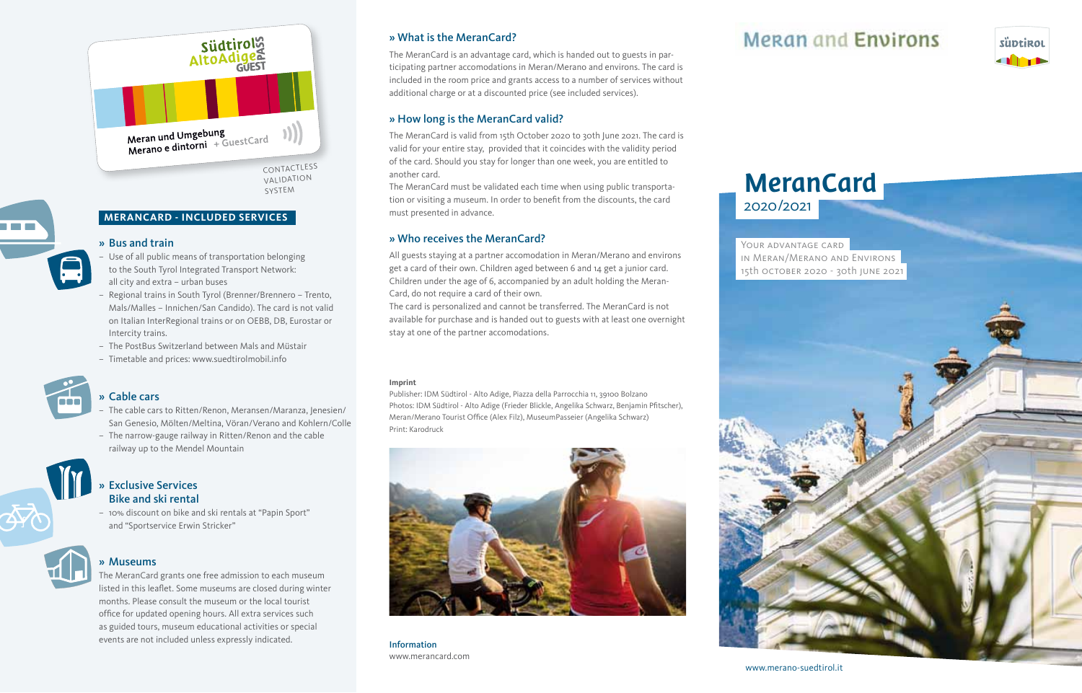

### **MeranCard - Included Services**

### » Bus and train

- Use of all public means of transportation belonging to the South Tyrol Integrated Transport Network: all city and extra – urban buses
- Regional trains in South Tyrol (Brenner/Brennero Trento, Mals/Malles – Innichen/San Candido). The card is not valid on Italian InterRegional trains or on OEBB, DB, Eurostar or Intercity trains.
- The PostBus Switzerland between Mals and Müstair
- Timetable and prices: www.suedtirolmobil.info



and the control

## » Cable cars

- The cable cars to Ritten/Renon, Meransen/Maranza, Jenesien/ San Genesio, Mölten/Meltina, Vöran/Verano and Kohlern/Colle
- The narrow-gauge railway in Ritten/Renon and the cable railway up to the Mendel Mountain



### » Exclusive Services Bike and ski rental

– 10% discount on bike and ski rentals at "Papin Sport" and "Sportservice Erwin Stricker"



### » Museums

The MeranCard grants one free admission to each museum listed in this leaflet. Some museums are closed during winter months. Please consult the museum or the local tourist office for updated opening hours. All extra services such as guided tours, museum educational activities or special events are not included unless expressly indicated.

#### » What is the MeranCard?

The MeranCard is an advantage card, which is handed out to guests in participating partner accomodations in Meran/Merano and environs. The card is included in the room price and grants access to a number of services without additional charge or at a discounted price (see included services).

### » How long is the MeranCard valid?

The MeranCard is valid from 15th October 2020 to 30th June 2021. The card is valid for your entire stay, provided that it coincides with the validity period of the card. Should you stay for longer than one week, you are entitled to another card.

The MeranCard must be validated each time when using public transportation or visiting a museum. In order to benefit from the discounts, the card must presented in advance.

### » Who receives the MeranCard?

All guests staying at a partner accomodation in Meran/Merano and environs get a card of their own. Children aged between 6 and 14 get a junior card. Children under the age of 6, accompanied by an adult holding the Meran-Card, do not require a card of their own.

The card is personalized and cannot be transferred. The MeranCard is not available for purchase and is handed out to guests with at least one overnight stay at one of the partner accomodations.

#### **Imprint**

Publisher: IDM Südtirol - Alto Adige, Piazza della Parrocchia 11, 39100 Bolzano Photos: IDM Südtirol - Alto Adige (Frieder Blickle, Angelika Schwarz, Benjamin Pfitscher), Meran/Merano Tourist Office (Alex Filz), MuseumPasseier (Angelika Schwarz) Print: Karodruck



Information www.merancard.com

## **Mergn and Environs**



# MeranCard 2020 /2021

YOUR ADVANTAGE CARD in Meran/Merano and Environs 15th october 2020 - 30th june 2021